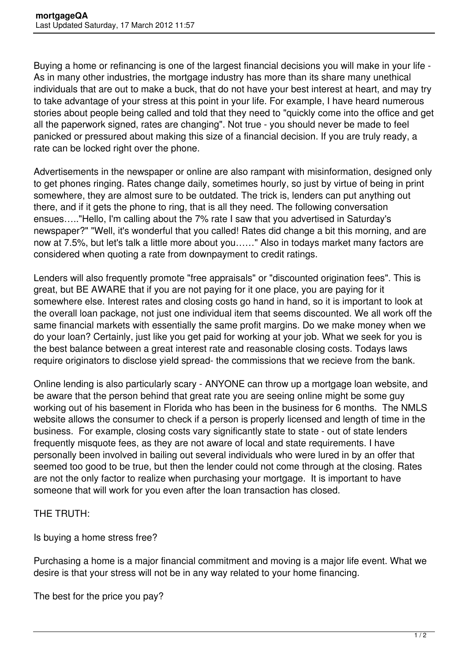Buying a home or refinancing is one of the largest financial decisions you will make in your life - As in many other industries, the mortgage industry has more than its share many unethical individuals that are out to make a buck, that do not have your best interest at heart, and may try to take advantage of your stress at this point in your life. For example, I have heard numerous stories about people being called and told that they need to "quickly come into the office and get all the paperwork signed, rates are changing". Not true - you should never be made to feel panicked or pressured about making this size of a financial decision. If you are truly ready, a rate can be locked right over the phone.

Advertisements in the newspaper or online are also rampant with misinformation, designed only to get phones ringing. Rates change daily, sometimes hourly, so just by virtue of being in print somewhere, they are almost sure to be outdated. The trick is, lenders can put anything out there, and if it gets the phone to ring, that is all they need. The following conversation ensues….."Hello, I'm calling about the 7% rate I saw that you advertised in Saturday's newspaper?" "Well, it's wonderful that you called! Rates did change a bit this morning, and are now at 7.5%, but let's talk a little more about you……" Also in todays market many factors are considered when quoting a rate from downpayment to credit ratings.

Lenders will also frequently promote "free appraisals" or "discounted origination fees". This is great, but BE AWARE that if you are not paying for it one place, you are paying for it somewhere else. Interest rates and closing costs go hand in hand, so it is important to look at the overall loan package, not just one individual item that seems discounted. We all work off the same financial markets with essentially the same profit margins. Do we make money when we do your loan? Certainly, just like you get paid for working at your job. What we seek for you is the best balance between a great interest rate and reasonable closing costs. Todays laws require originators to disclose yield spread- the commissions that we recieve from the bank.

Online lending is also particularly scary - ANYONE can throw up a mortgage loan website, and be aware that the person behind that great rate you are seeing online might be some guy working out of his basement in Florida who has been in the business for 6 months. The NMLS website allows the consumer to check if a person is properly licensed and length of time in the business. For example, closing costs vary significantly state to state - out of state lenders frequently misquote fees, as they are not aware of local and state requirements. I have personally been involved in bailing out several individuals who were lured in by an offer that seemed too good to be true, but then the lender could not come through at the closing. Rates are not the only factor to realize when purchasing your mortgage. It is important to have someone that will work for you even after the loan transaction has closed.

## THE TRUTH:

Is buying a home stress free?

Purchasing a home is a major financial commitment and moving is a major life event. What we desire is that your stress will not be in any way related to your home financing.

The best for the price you pay?